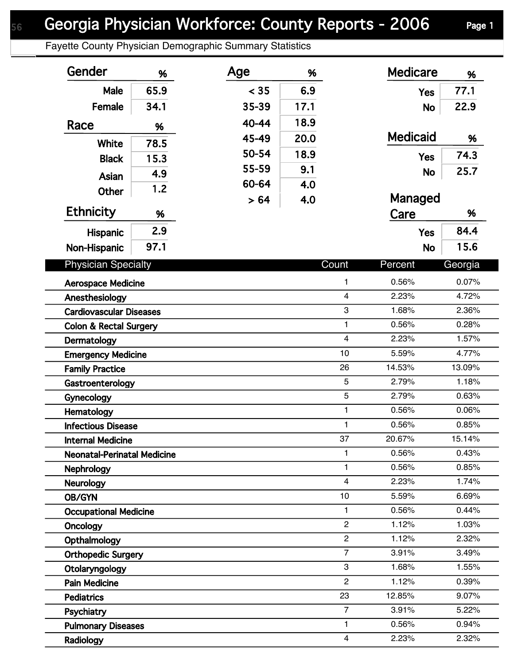## Georgia Physician Workforce: County Reports - 2006 Page 1

Fayette County Physician Demographic Summary Statistics

| Gender                             | %    | Age   | %    |                | <b>Medicare</b> | %       |
|------------------------------------|------|-------|------|----------------|-----------------|---------|
| Male                               | 65.9 | < 35  | 6.9  |                | <b>Yes</b>      | 77.1    |
| Female                             | 34.1 | 35-39 | 17.1 |                | <b>No</b>       | 22.9    |
| Race                               | %    | 40-44 | 18.9 |                |                 |         |
|                                    |      | 45-49 | 20.0 |                | <b>Medicaid</b> | %       |
| <b>White</b>                       | 78.5 | 50-54 | 18.9 |                |                 | 74.3    |
| <b>Black</b>                       | 15.3 | 55-59 | 9.1  |                | <b>Yes</b>      |         |
| Asian                              | 4.9  | 60-64 | 4.0  |                | <b>No</b>       | 25.7    |
| <b>Other</b>                       | 1.2  |       |      |                | Managed         |         |
| <b>Ethnicity</b>                   | %    | > 64  | 4.0  |                | Care            | %       |
|                                    | 2.9  |       |      |                |                 | 84.4    |
| <b>Hispanic</b>                    | 97.1 |       |      |                | <b>Yes</b>      | 15.6    |
| Non-Hispanic                       |      |       |      |                | <b>No</b>       |         |
| <b>Physician Specialty</b>         |      |       |      | Count          | Percent         | Georgia |
| <b>Aerospace Medicine</b>          |      |       |      | 1              | 0.56%           | 0.07%   |
| Anesthesiology                     |      |       |      | $\overline{4}$ | 2.23%           | 4.72%   |
| <b>Cardiovascular Diseases</b>     |      |       |      | 3              | 1.68%           | 2.36%   |
| <b>Colon &amp; Rectal Surgery</b>  |      |       |      | 1              | 0.56%           | 0.28%   |
| Dermatology                        |      |       |      | $\overline{4}$ | 2.23%           | 1.57%   |
| <b>Emergency Medicine</b>          |      |       |      | 10             | 5.59%           | 4.77%   |
| <b>Family Practice</b>             |      |       |      | 26             | 14.53%          | 13.09%  |
| Gastroenterology                   |      |       |      | 5              | 2.79%           | 1.18%   |
| Gynecology                         |      |       |      | 5              | 2.79%           | 0.63%   |
| Hematology                         |      |       |      | 1              | 0.56%           | 0.06%   |
| <b>Infectious Disease</b>          |      |       |      | 1              | 0.56%           | 0.85%   |
| <b>Internal Medicine</b>           |      |       |      | 37             | 20.67%          | 15.14%  |
| <b>Neonatal-Perinatal Medicine</b> |      |       |      | 1              | 0.56%           | 0.43%   |
| <b>Nephrology</b>                  |      |       |      | 1              | 0.56%           | 0.85%   |
| <b>Neurology</b>                   |      |       |      | $\overline{4}$ | 2.23%           | 1.74%   |
| OB/GYN                             |      |       |      | 10             | 5.59%           | 6.69%   |
| <b>Occupational Medicine</b>       |      |       |      | 1              | 0.56%           | 0.44%   |
| Oncology                           |      |       |      | $\overline{2}$ | 1.12%           | 1.03%   |
| Opthalmology                       |      |       |      | $\overline{2}$ | 1.12%           | 2.32%   |
| <b>Orthopedic Surgery</b>          |      |       |      | $\overline{7}$ | 3.91%           | 3.49%   |
| Otolaryngology                     |      |       |      | 3              | 1.68%           | 1.55%   |
| <b>Pain Medicine</b>               |      |       |      | $\overline{2}$ | 1.12%           | 0.39%   |
| <b>Pediatrics</b>                  |      |       |      | 23             | 12.85%          | 9.07%   |
| Psychiatry                         |      |       |      | $\overline{7}$ | 3.91%           | 5.22%   |
| <b>Pulmonary Diseases</b>          |      |       |      | 1              | 0.56%           | 0.94%   |
| Radiology                          |      |       |      | 4              | 2.23%           | 2.32%   |